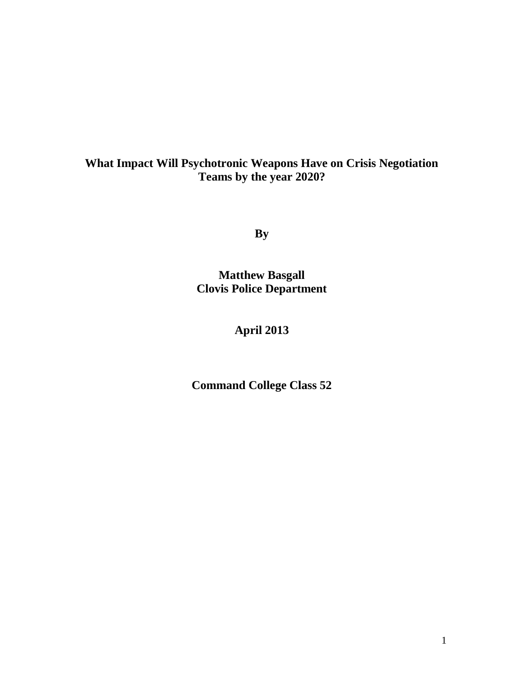# **What Impact Will Psychotronic Weapons Have on Crisis Negotiation Teams by the year 2020?**

**By**

**Matthew Basgall Clovis Police Department**

# **April 2013**

**Command College Class 52**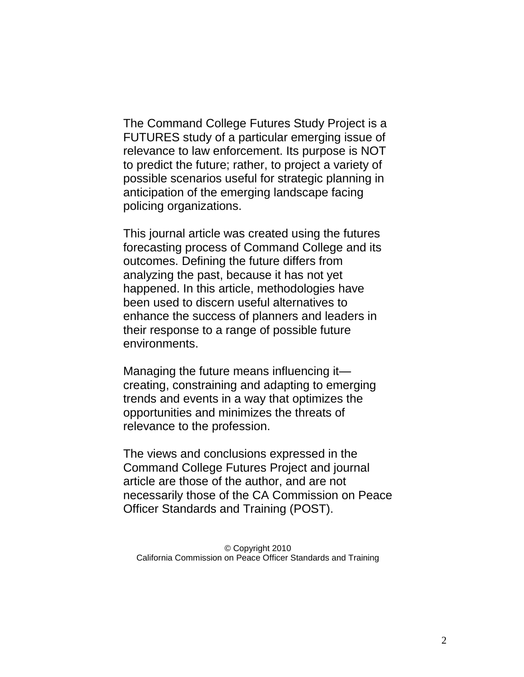The Command College Futures Study Project is a FUTURES study of a particular emerging issue of relevance to law enforcement. Its purpose is NOT to predict the future; rather, to project a variety of possible scenarios useful for strategic planning in anticipation of the emerging landscape facing policing organizations.

This journal article was created using the futures forecasting process of Command College and its outcomes. Defining the future differs from analyzing the past, because it has not yet happened. In this article, methodologies have been used to discern useful alternatives to enhance the success of planners and leaders in their response to a range of possible future environments.

Managing the future means influencing it creating, constraining and adapting to emerging trends and events in a way that optimizes the opportunities and minimizes the threats of relevance to the profession.

The views and conclusions expressed in the Command College Futures Project and journal article are those of the author, and are not necessarily those of the CA Commission on Peace Officer Standards and Training (POST).

© Copyright 2010 California Commission on Peace Officer Standards and Training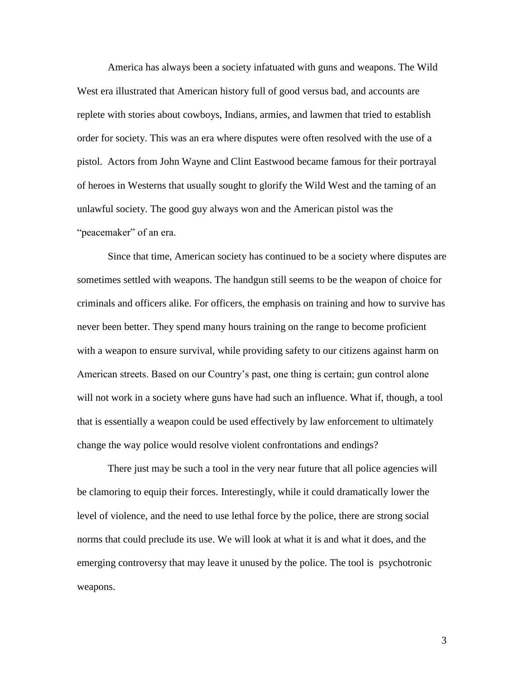America has always been a society infatuated with guns and weapons. The Wild West era illustrated that American history full of good versus bad, and accounts are replete with stories about cowboys, Indians, armies, and lawmen that tried to establish order for society. This was an era where disputes were often resolved with the use of a pistol. Actors from John Wayne and Clint Eastwood became famous for their portrayal of heroes in Westerns that usually sought to glorify the Wild West and the taming of an unlawful society. The good guy always won and the American pistol was the "peacemaker" of an era.

Since that time, American society has continued to be a society where disputes are sometimes settled with weapons. The handgun still seems to be the weapon of choice for criminals and officers alike. For officers, the emphasis on training and how to survive has never been better. They spend many hours training on the range to become proficient with a weapon to ensure survival, while providing safety to our citizens against harm on American streets. Based on our Country's past, one thing is certain; gun control alone will not work in a society where guns have had such an influence. What if, though, a tool that is essentially a weapon could be used effectively by law enforcement to ultimately change the way police would resolve violent confrontations and endings?

There just may be such a tool in the very near future that all police agencies will be clamoring to equip their forces. Interestingly, while it could dramatically lower the level of violence, and the need to use lethal force by the police, there are strong social norms that could preclude its use. We will look at what it is and what it does, and the emerging controversy that may leave it unused by the police. The tool is psychotronic weapons.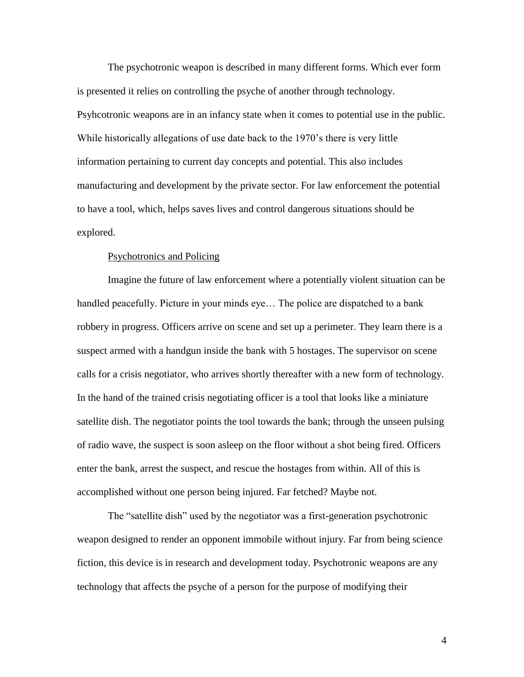The psychotronic weapon is described in many different forms. Which ever form is presented it relies on controlling the psyche of another through technology. Psyhcotronic weapons are in an infancy state when it comes to potential use in the public. While historically allegations of use date back to the 1970's there is very little information pertaining to current day concepts and potential. This also includes manufacturing and development by the private sector. For law enforcement the potential to have a tool, which, helps saves lives and control dangerous situations should be explored.

## Psychotronics and Policing

Imagine the future of law enforcement where a potentially violent situation can be handled peacefully. Picture in your minds eye… The police are dispatched to a bank robbery in progress. Officers arrive on scene and set up a perimeter. They learn there is a suspect armed with a handgun inside the bank with 5 hostages. The supervisor on scene calls for a crisis negotiator, who arrives shortly thereafter with a new form of technology. In the hand of the trained crisis negotiating officer is a tool that looks like a miniature satellite dish. The negotiator points the tool towards the bank; through the unseen pulsing of radio wave, the suspect is soon asleep on the floor without a shot being fired. Officers enter the bank, arrest the suspect, and rescue the hostages from within. All of this is accomplished without one person being injured. Far fetched? Maybe not.

The "satellite dish" used by the negotiator was a first-generation psychotronic weapon designed to render an opponent immobile without injury. Far from being science fiction, this device is in research and development today. Psychotronic weapons are any technology that affects the psyche of a person for the purpose of modifying their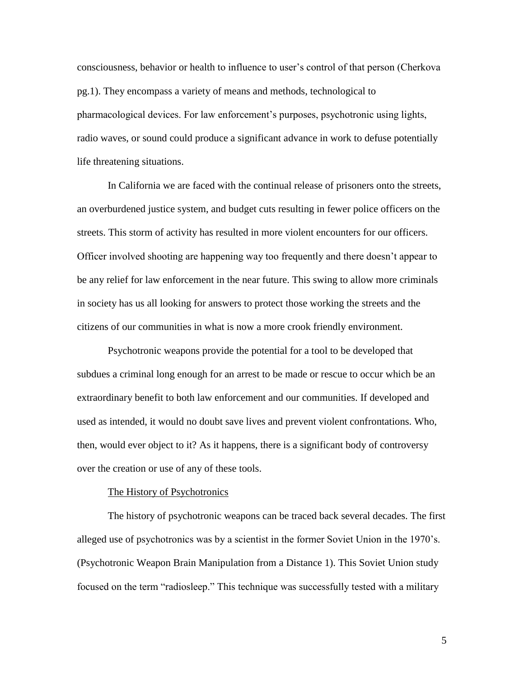consciousness, behavior or health to influence to user's control of that person (Cherkova pg.1). They encompass a variety of means and methods, technological to pharmacological devices. For law enforcement's purposes, psychotronic using lights, radio waves, or sound could produce a significant advance in work to defuse potentially life threatening situations.

In California we are faced with the continual release of prisoners onto the streets, an overburdened justice system, and budget cuts resulting in fewer police officers on the streets. This storm of activity has resulted in more violent encounters for our officers. Officer involved shooting are happening way too frequently and there doesn't appear to be any relief for law enforcement in the near future. This swing to allow more criminals in society has us all looking for answers to protect those working the streets and the citizens of our communities in what is now a more crook friendly environment.

Psychotronic weapons provide the potential for a tool to be developed that subdues a criminal long enough for an arrest to be made or rescue to occur which be an extraordinary benefit to both law enforcement and our communities. If developed and used as intended, it would no doubt save lives and prevent violent confrontations. Who, then, would ever object to it? As it happens, there is a significant body of controversy over the creation or use of any of these tools.

#### The History of Psychotronics

The history of psychotronic weapons can be traced back several decades. The first alleged use of psychotronics was by a scientist in the former Soviet Union in the 1970's. (Psychotronic Weapon Brain Manipulation from a Distance 1). This Soviet Union study focused on the term "radiosleep." This technique was successfully tested with a military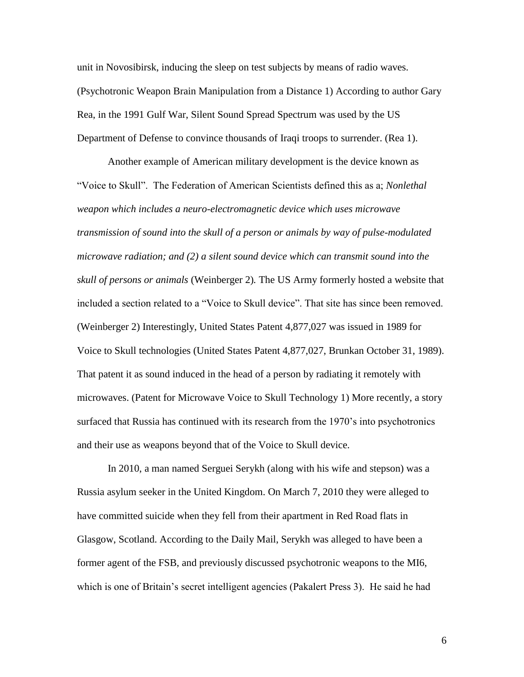unit in Novosibirsk, inducing the sleep on test subjects by means of radio waves. (Psychotronic Weapon Brain Manipulation from a Distance 1) According to author Gary Rea, in the 1991 Gulf War, Silent Sound Spread Spectrum was used by the US Department of Defense to convince thousands of Iraqi troops to surrender. (Rea 1).

Another example of American military development is the device known as "Voice to Skull". The Federation of American Scientists defined this as a; *Nonlethal weapon which includes a neuro-electromagnetic device which uses microwave transmission of sound into the skull of a person or animals by way of pulse-modulated microwave radiation; and (2) a silent sound device which can transmit sound into the skull of persons or animals* (Weinberger 2)*.* The US Army formerly hosted a website that included a section related to a "Voice to Skull device". That site has since been removed. (Weinberger 2) Interestingly, United States Patent 4,877,027 was issued in 1989 for Voice to Skull technologies (United States Patent 4,877,027, Brunkan October 31, 1989). That patent it as sound induced in the head of a person by radiating it remotely with microwaves. (Patent for Microwave Voice to Skull Technology 1) More recently, a story surfaced that Russia has continued with its research from the 1970's into psychotronics and their use as weapons beyond that of the Voice to Skull device.

In 2010, a man named Serguei Serykh (along with his wife and stepson) was a Russia asylum seeker in the United Kingdom. On March 7, 2010 they were alleged to have committed suicide when they fell from their apartment in Red Road flats in Glasgow, Scotland. According to the Daily Mail, Serykh was alleged to have been a former agent of the FSB, and previously discussed psychotronic weapons to the MI6, which is one of Britain's secret intelligent agencies (Pakalert Press 3). He said he had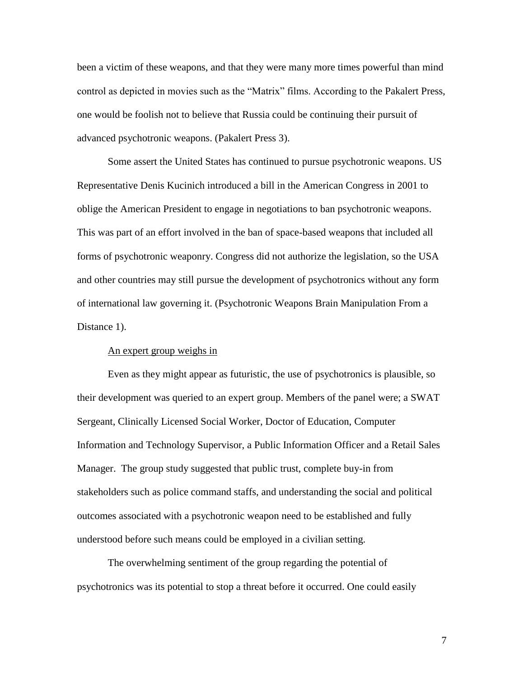been a victim of these weapons, and that they were many more times powerful than mind control as depicted in movies such as the "Matrix" films. According to the Pakalert Press, one would be foolish not to believe that Russia could be continuing their pursuit of advanced psychotronic weapons. (Pakalert Press 3).

Some assert the United States has continued to pursue psychotronic weapons. US Representative Denis Kucinich introduced a bill in the American Congress in 2001 to oblige the American President to engage in negotiations to ban psychotronic weapons. This was part of an effort involved in the ban of space-based weapons that included all forms of psychotronic weaponry. Congress did not authorize the legislation, so the USA and other countries may still pursue the development of psychotronics without any form of international law governing it. (Psychotronic Weapons Brain Manipulation From a Distance 1).

## An expert group weighs in

Even as they might appear as futuristic, the use of psychotronics is plausible, so their development was queried to an expert group. Members of the panel were; a SWAT Sergeant, Clinically Licensed Social Worker, Doctor of Education, Computer Information and Technology Supervisor, a Public Information Officer and a Retail Sales Manager. The group study suggested that public trust, complete buy-in from stakeholders such as police command staffs, and understanding the social and political outcomes associated with a psychotronic weapon need to be established and fully understood before such means could be employed in a civilian setting.

The overwhelming sentiment of the group regarding the potential of psychotronics was its potential to stop a threat before it occurred. One could easily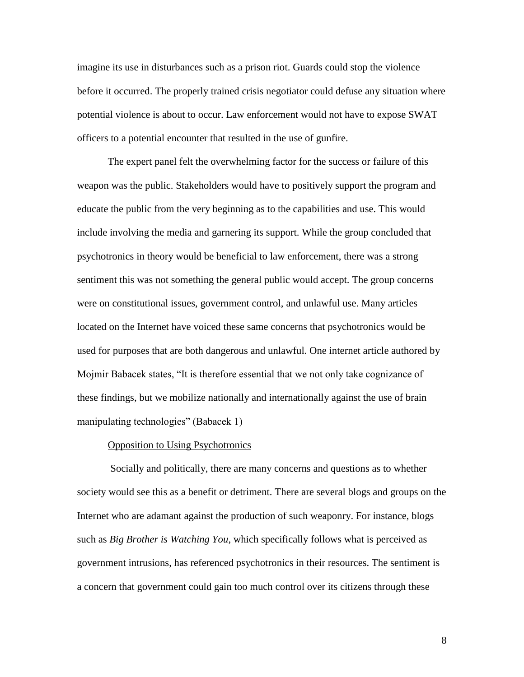imagine its use in disturbances such as a prison riot. Guards could stop the violence before it occurred. The properly trained crisis negotiator could defuse any situation where potential violence is about to occur. Law enforcement would not have to expose SWAT officers to a potential encounter that resulted in the use of gunfire.

The expert panel felt the overwhelming factor for the success or failure of this weapon was the public. Stakeholders would have to positively support the program and educate the public from the very beginning as to the capabilities and use. This would include involving the media and garnering its support. While the group concluded that psychotronics in theory would be beneficial to law enforcement, there was a strong sentiment this was not something the general public would accept. The group concerns were on constitutional issues, government control, and unlawful use. Many articles located on the Internet have voiced these same concerns that psychotronics would be used for purposes that are both dangerous and unlawful. One internet article authored by Mojmir Babacek states, "It is therefore essential that we not only take cognizance of these findings, but we mobilize nationally and internationally against the use of brain manipulating technologies" (Babacek 1)

### Opposition to Using Psychotronics

Socially and politically, there are many concerns and questions as to whether society would see this as a benefit or detriment. There are several blogs and groups on the Internet who are adamant against the production of such weaponry. For instance, blogs such as *Big Brother is Watching You*, which specifically follows what is perceived as government intrusions, has referenced psychotronics in their resources. The sentiment is a concern that government could gain too much control over its citizens through these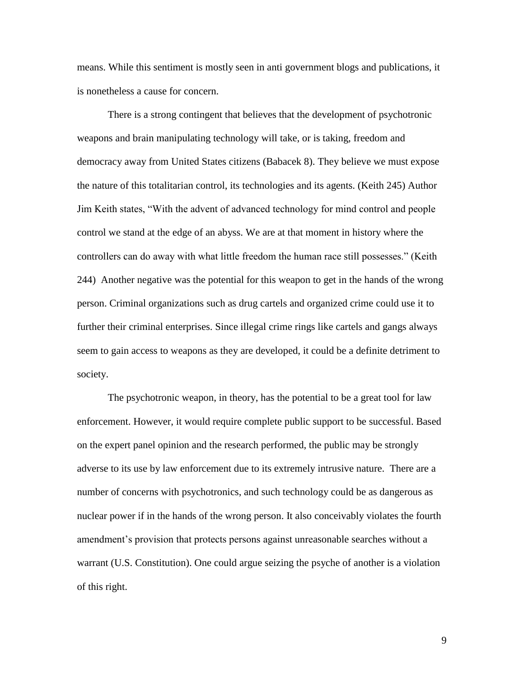means. While this sentiment is mostly seen in anti government blogs and publications, it is nonetheless a cause for concern.

There is a strong contingent that believes that the development of psychotronic weapons and brain manipulating technology will take, or is taking, freedom and democracy away from United States citizens (Babacek 8). They believe we must expose the nature of this totalitarian control, its technologies and its agents. (Keith 245) Author Jim Keith states, "With the advent of advanced technology for mind control and people control we stand at the edge of an abyss. We are at that moment in history where the controllers can do away with what little freedom the human race still possesses." (Keith 244) Another negative was the potential for this weapon to get in the hands of the wrong person. Criminal organizations such as drug cartels and organized crime could use it to further their criminal enterprises. Since illegal crime rings like cartels and gangs always seem to gain access to weapons as they are developed, it could be a definite detriment to society.

The psychotronic weapon, in theory, has the potential to be a great tool for law enforcement. However, it would require complete public support to be successful. Based on the expert panel opinion and the research performed, the public may be strongly adverse to its use by law enforcement due to its extremely intrusive nature. There are a number of concerns with psychotronics, and such technology could be as dangerous as nuclear power if in the hands of the wrong person. It also conceivably violates the fourth amendment's provision that protects persons against unreasonable searches without a warrant (U.S. Constitution). One could argue seizing the psyche of another is a violation of this right.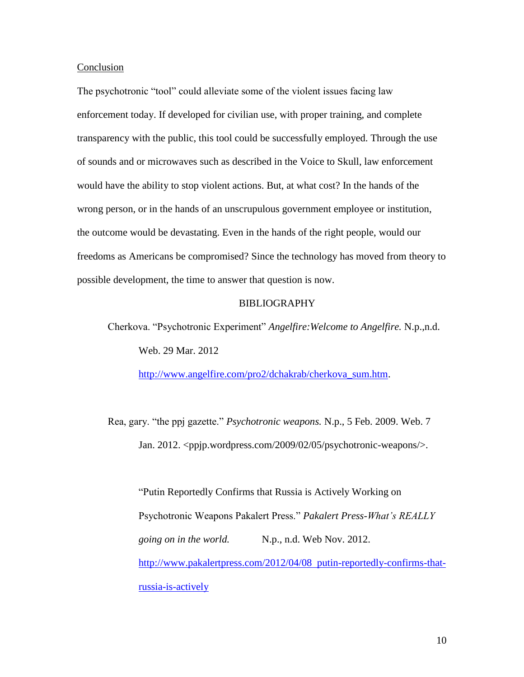### Conclusion

The psychotronic "tool" could alleviate some of the violent issues facing law enforcement today. If developed for civilian use, with proper training, and complete transparency with the public, this tool could be successfully employed. Through the use of sounds and or microwaves such as described in the Voice to Skull, law enforcement would have the ability to stop violent actions. But, at what cost? In the hands of the wrong person, or in the hands of an unscrupulous government employee or institution, the outcome would be devastating. Even in the hands of the right people, would our freedoms as Americans be compromised? Since the technology has moved from theory to possible development, the time to answer that question is now.

## BIBLIOGRAPHY

Cherkova. "Psychotronic Experiment" *Angelfire:Welcome to Angelfire.* N.p.,n.d. Web. 29 Mar. 2012

[http://www.angelfire.com/pro2/dchakrab/cherkova\\_sum.htm.](http://www.angelfire.com/pro2/dchakrab/cherkova_sum.htm)

Rea, gary. "the ppj gazette." *Psychotronic weapons.* N.p., 5 Feb. 2009. Web. 7 Jan. 2012. <ppjp.wordpress.com/2009/02/05/psychotronic-weapons/>.

"Putin Reportedly Confirms that Russia is Actively Working on Psychotronic Weapons Pakalert Press." *Pakalert Press-What's REALLY going on in the world.* N.p., n.d. Web Nov. 2012. [http://www.pakalertpress.com/2012/04/08 putin-reportedly-confirms-that](http://www.pakalertpress.com/2012/04/08%20%20putin-reportedly-confirms-that-russia-is-actively)[russia-is-actively](http://www.pakalertpress.com/2012/04/08%20%20putin-reportedly-confirms-that-russia-is-actively)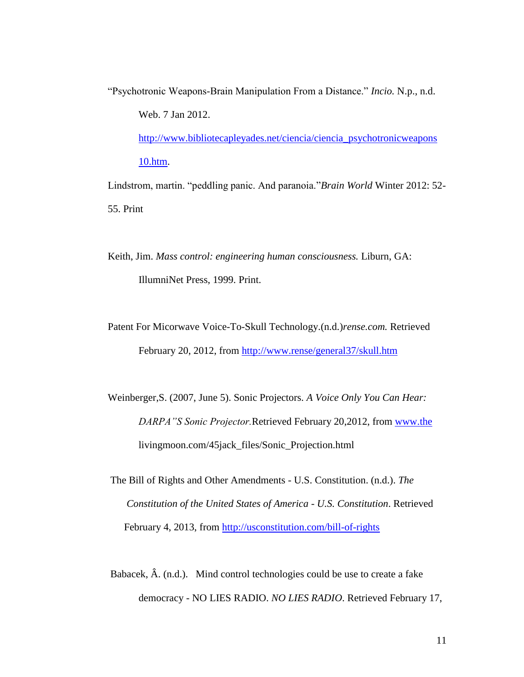"Psychotronic Weapons-Brain Manipulation From a Distance." *Incio.* N.p., n.d. Web. 7 Jan 2012.

[http://www.bibliotecapleyades.net/ciencia/ciencia\\_psychotronicweapons](http://www.bibliotecapleyades.net/ciencia/ciencia_psychotronicweapons%2010.htm)  [10.htm.](http://www.bibliotecapleyades.net/ciencia/ciencia_psychotronicweapons%2010.htm)

Lindstrom, martin. "peddling panic. And paranoia."*Brain World* Winter 2012: 52- 55. Print

Keith, Jim. *Mass control: engineering human consciousness.* Liburn, GA: IllumniNet Press, 1999. Print.

Patent For Micorwave Voice-To-Skull Technology.(n.d.)*rense.com.* Retrieved February 20, 2012, from<http://www.rense/general37/skull.htm>

Weinberger,S. (2007, June 5). Sonic Projectors. *A Voice Only You Can Hear: DARPA"S Sonic Projector.*Retrieved February 20,2012, from [www.the](http://www.the/) livingmoon.com/45jack\_files/Sonic\_Projection.html

The Bill of Rights and Other Amendments - U.S. Constitution. (n.d.). *The Constitution of the United States of America - U.S. Constitution*. Retrieved February 4, 2013, from<http://usconstitution.com/bill-of-rights>

Babacek, Â. (n.d.). Mind control technologies could be use to create a fake democracy - NO LIES RADIO. *NO LIES RADIO*. Retrieved February 17,